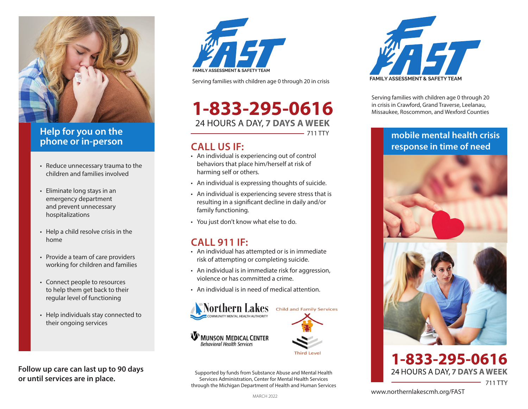

#### **Help for you on the phone or in-person**

- Reduce unnecessary trauma to the children and families involved
- Eliminate long stays in an emergency department and prevent unnecessary hospitalizations
- Help a child resolve crisis in the home
- Provide a team of care providers working for children and families
- Connect people to resources to help them get back to their regular level of functioning
- Help individuals stay connected to their ongoing services

**Follow up care can last up to 90 days or until services are in place.**



Serving families with children age 0 through 20 in crisis

# **1-833-295-0616** 24 HOURS A DAY, **7 DAYS A WEEK**

711 TTY

### **CALL US IF:**

- An individual is experiencing out of control behaviors that place him/herself at risk of harming self or others.
- An individual is expressing thoughts of suicide.
- An individual is experiencing severe stress that is resulting in a significant decline in daily and/or family functioning.
- You just don't know what else to do.

## **CALL 911 IF:**

- An individual has attempted or is in immediate risk of attempting or completing suicide.
- An individual is in immediate risk for aggression, violence or has committed a crime.
- An individual is in need of medical attention.



Supported by funds from Substance Abuse and Mental Health Services Administration, Center for Mental Health Services through the Michigan Department of Health and Human Services



Serving families with children age 0 through 20 in crisis in Crawford, Grand Traverse, Leelanau, Missaukee, Roscommon, and Wexford Counties

#### **mobile mental health crisis response in time of need**



#### 1-833-295-0616 24 HOURS A DAY, 7 DAYS A WEEK 711 TTY

www.northernlakescmh.org/FAST